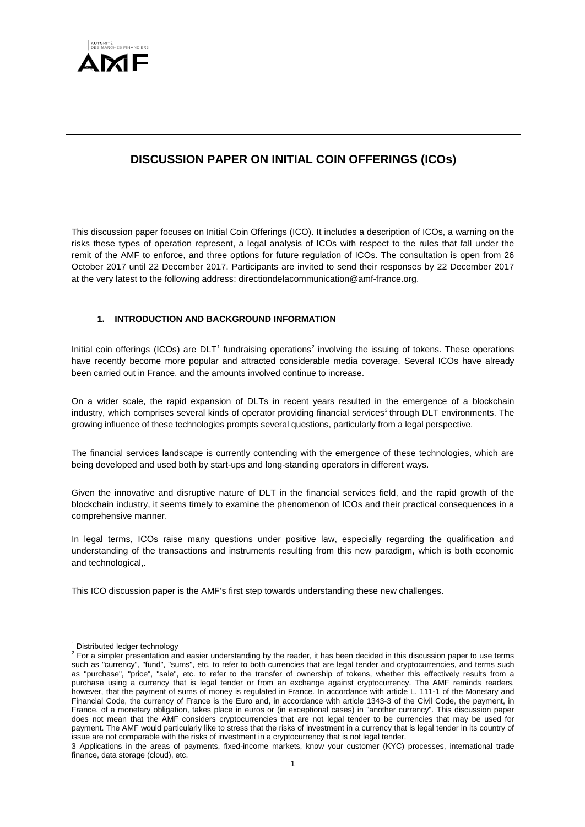

# **DISCUSSION PAPER ON INITIAL COIN OFFERINGS (ICOs)**

This discussion paper focuses on Initial Coin Offerings (ICO). It includes a description of ICOs, a warning on the risks these types of operation represent, a legal analysis of ICOs with respect to the rules that fall under the remit of the AMF to enforce, and three options for future regulation of ICOs. The consultation is open from 26 October 2017 until 22 December 2017. Participants are invited to send their responses by 22 December 2017 at the very latest to the following address: directiondelacommunication@amf-france.org.

# **1. INTRODUCTION AND BACKGROUND INFORMATION**

Initial coin offerings (ICOs) are  $DLT<sup>1</sup>$  $DLT<sup>1</sup>$  $DLT<sup>1</sup>$  fundraising operations<sup>[2](#page-0-1)</sup> involving the issuing of tokens. These operations have recently become more popular and attracted considerable media coverage. Several ICOs have already been carried out in France, and the amounts involved continue to increase.

On a wider scale, the rapid expansion of DLTs in recent years resulted in the emergence of a blockchain industry, which comprises several kinds of operator providing financial services<sup>[3](#page-0-2)</sup> through DLT environments. The growing influence of these technologies prompts several questions, particularly from a legal perspective.

The financial services landscape is currently contending with the emergence of these technologies, which are being developed and used both by start-ups and long-standing operators in different ways.

Given the innovative and disruptive nature of DLT in the financial services field, and the rapid growth of the blockchain industry, it seems timely to examine the phenomenon of ICOs and their practical consequences in a comprehensive manner.

In legal terms, ICOs raise many questions under positive law, especially regarding the qualification and understanding of the transactions and instruments resulting from this new paradigm, which is both economic and technological,.

This ICO discussion paper is the AMF's first step towards understanding these new challenges.

<sup>&</sup>lt;sup>1</sup> Distributed ledger technology

<span id="page-0-1"></span><span id="page-0-0"></span><sup>2</sup> For a simpler presentation and easier understanding by the reader, it has been decided in this discussion paper to use terms such as "currency", "fund", "sums", etc. to refer to both currencies that are legal tender and cryptocurrencies, and terms such as "purchase", "price", "sale", etc. to refer to the transfer of ownership of tokens, whether this effectively results from a purchase using a currency that is legal tender or from an exchange against cryptocurrency. The AMF reminds readers, however, that the payment of sums of money is regulated in France. In accordance with article L. 111-1 of the Monetary and Financial Code, the currency of France is the Euro and, in accordance with article 1343-3 of the Civil Code, the payment, in France, of a monetary obligation, takes place in euros or (in exceptional cases) in "another currency". This discussion paper does not mean that the AMF considers cryptocurrencies that are not legal tender to be currencies that may be used for payment. The AMF would particularly like to stress that the risks of investment in a currency that is legal tender in its country of issue are not comparable with the risks of investment in a cryptocurrency that is not legal tender.

<span id="page-0-2"></span><sup>3</sup> Applications in the areas of payments, fixed-income markets, know your customer (KYC) processes, international trade finance, data storage (cloud), etc.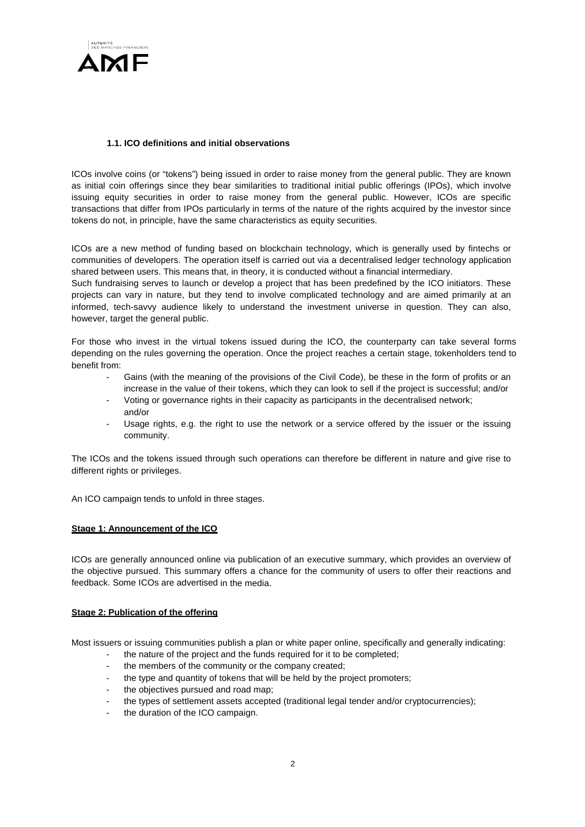

# **1.1. ICO definitions and initial observations**

ICOs involve coins (or "tokens") being issued in order to raise money from the general public. They are known as initial coin offerings since they bear similarities to traditional initial public offerings (IPOs), which involve issuing equity securities in order to raise money from the general public. However, ICOs are specific transactions that differ from IPOs particularly in terms of the nature of the rights acquired by the investor since tokens do not, in principle, have the same characteristics as equity securities.

ICOs are a new method of funding based on blockchain technology, which is generally used by fintechs or communities of developers. The operation itself is carried out via a decentralised ledger technology application shared between users. This means that, in theory, it is conducted without a financial intermediary.

Such fundraising serves to launch or develop a project that has been predefined by the ICO initiators. These projects can vary in nature, but they tend to involve complicated technology and are aimed primarily at an informed, tech-savvy audience likely to understand the investment universe in question. They can also, however, target the general public.

For those who invest in the virtual tokens issued during the ICO, the counterparty can take several forms depending on the rules governing the operation. Once the project reaches a certain stage, tokenholders tend to benefit from:

- Gains (with the meaning of the provisions of the Civil Code), be these in the form of profits or an increase in the value of their tokens, which they can look to sell if the project is successful; and/or
- Voting or governance rights in their capacity as participants in the decentralised network; and/or
- Usage rights, e.g. the right to use the network or a service offered by the issuer or the issuing community.

The ICOs and the tokens issued through such operations can therefore be different in nature and give rise to different rights or privileges.

An ICO campaign tends to unfold in three stages.

#### **Stage 1: Announcement of the ICO**

ICOs are generally announced online via publication of an executive summary, which provides an overview of the objective pursued. This summary offers a chance for the community of users to offer their reactions and feedback. Some ICOs are advertised in the media.

#### **Stage 2: Publication of the offering**

Most issuers or issuing communities publish a plan or white paper online, specifically and generally indicating:

- the nature of the project and the funds required for it to be completed;
- the members of the community or the company created;
- the type and quantity of tokens that will be held by the project promoters;
- the objectives pursued and road map;
- the types of settlement assets accepted (traditional legal tender and/or cryptocurrencies);
- the duration of the ICO campaign.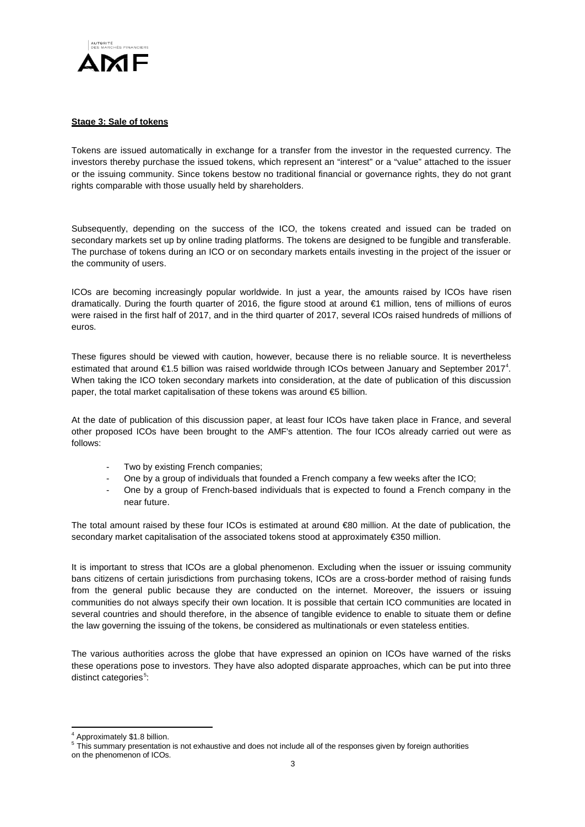

## **Stage 3: Sale of tokens**

Tokens are issued automatically in exchange for a transfer from the investor in the requested currency. The investors thereby purchase the issued tokens, which represent an "interest" or a "value" attached to the issuer or the issuing community. Since tokens bestow no traditional financial or governance rights, they do not grant rights comparable with those usually held by shareholders.

Subsequently, depending on the success of the ICO, the tokens created and issued can be traded on secondary markets set up by online trading platforms. The tokens are designed to be fungible and transferable. The purchase of tokens during an ICO or on secondary markets entails investing in the project of the issuer or the community of users.

ICOs are becoming increasingly popular worldwide. In just a year, the amounts raised by ICOs have risen dramatically. During the fourth quarter of 2016, the figure stood at around €1 million, tens of millions of euros were raised in the first half of 2017, and in the third quarter of 2017, several ICOs raised hundreds of millions of euros.

These figures should be viewed with caution, however, because there is no reliable source. It is nevertheless estimated that around €1.5 billion was raised worldwide through ICOs between January and September 2017[4](#page-2-0) . When taking the ICO token secondary markets into consideration, at the date of publication of this discussion paper, the total market capitalisation of these tokens was around €5 billion.

At the date of publication of this discussion paper, at least four ICOs have taken place in France, and several other proposed ICOs have been brought to the AMF's attention. The four ICOs already carried out were as follows:

- Two by existing French companies;
- One by a group of individuals that founded a French company a few weeks after the ICO;
- One by a group of French-based individuals that is expected to found a French company in the near future.

The total amount raised by these four ICOs is estimated at around €80 million. At the date of publication, the secondary market capitalisation of the associated tokens stood at approximately €350 million.

It is important to stress that ICOs are a global phenomenon. Excluding when the issuer or issuing community bans citizens of certain jurisdictions from purchasing tokens, ICOs are a cross-border method of raising funds from the general public because they are conducted on the internet. Moreover, the issuers or issuing communities do not always specify their own location. It is possible that certain ICO communities are located in several countries and should therefore, in the absence of tangible evidence to enable to situate them or define the law governing the issuing of the tokens, be considered as multinationals or even stateless entities.

The various authorities across the globe that have expressed an opinion on ICOs have warned of the risks these operations pose to investors. They have also adopted disparate approaches, which can be put into three distinct categories<sup>[5](#page-2-1)</sup>:

 $\overline{\phantom{a}}$ 

<sup>4</sup> Approximately \$1.8 billion.

<span id="page-2-1"></span><span id="page-2-0"></span><sup>&</sup>lt;sup>5</sup> This summary presentation is not exhaustive and does not include all of the responses given by foreign authorities

on the phenomenon of ICOs.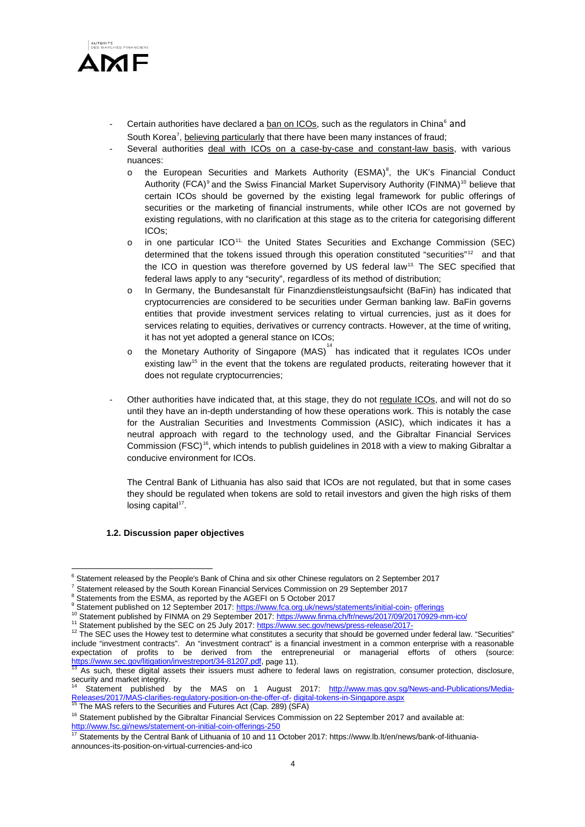

- Certain authorities have declared a ban on ICOs, such as the regulators in China<sup>[6](#page-3-0)</sup> and South Korea', believing particularly that there have been many instances of fraud;
- Several authorities deal with ICOs on a case-by-case and constant-law basis, with various nuances:
	- $\circ$  the European Securities and Markets Authority (ESMA)<sup>[8](#page-3-2)</sup>, the UK's Financial Conduct Authority (FCA)<sup>[9](#page-3-3)</sup> and the Swiss Financial Market Supervisory Authority (FINMA)<sup>[10](#page-3-4)</sup> believe that certain ICOs should be governed by the existing legal framework for public offerings of securities or the marketing of financial instruments, while other ICOs are not governed by existing regulations, with no clarification at this stage as to the criteria for categorising different ICOs;
	- o in one particular ICO[11,](#page-3-5) the United States Securities and Exchange Commission (SEC) determined that the tokens issued through this operation constituted "securities"<sup>[12](#page-3-6)</sup> and that the ICO in question was therefore governed by US federal law<sup>[13.](#page-3-7)</sup> The SEC specified that federal laws apply to any "security", regardless of its method of distribution;
	- o In Germany, the Bundesanstalt für Finanzdienstleistungsaufsicht (BaFin) has indicated that cryptocurrencies are considered to be securities under German banking law. BaFin governs entities that provide investment services relating to virtual currencies, just as it does for services relating to equities, derivatives or currency contracts. However, at the time of writing, it has not yet adopted a general stance on ICOs;
	- $\circ$  the Monetary Authority of Singapore (MAS)<sup>[14](#page-3-8)</sup> has indicated that it regulates ICOs under existing law<sup>[15](#page-3-9)</sup> in the event that the tokens are regulated products, reiterating however that it does not regulate cryptocurrencies;
- Other authorities have indicated that, at this stage, they do not regulate ICOs, and will not do so until they have an in-depth understanding of how these operations work. This is notably the case for the Australian Securities and Investments Commission (ASIC), which indicates it has a neutral approach with regard to the technology used, and the Gibraltar Financial Services Commission (FSC)<sup>[16](#page-3-10)</sup>, which intends to publish guidelines in 2018 with a view to making Gibraltar a conducive environment for ICOs.

The Central Bank of Lithuania has also said that ICOs are not regulated, but that in some cases they should be regulated when tokens are sold to retail investors and given the high risks of them losing capital<sup>17</sup>.

#### **1.2. Discussion paper objectives**

 $\overline{a}$ <sup>6</sup> Statement released by the People's Bank of China and six other Chinese regulators on 2 September 2017

<span id="page-3-1"></span><span id="page-3-0"></span><sup>&</sup>lt;sup>7</sup> Statement released by the South Korean Financial Services Commission on 29 September 2017  $8$  Statements from the ESMA, as reported by the AGEFI on 5 October 2017

<span id="page-3-6"></span><span id="page-3-5"></span>

<span id="page-3-4"></span><span id="page-3-3"></span><span id="page-3-2"></span><sup>&</sup>lt;sup>9</sup> Statement published on 12 September 2017: [https://www.fca.org.uk/news/statements/initial-coin-](https://www.fca.org.uk/news/statements/initial-coin-offerings)[offerings](https://www.fca.org.uk/news/statements/initial-coin-offerings)<br><sup>10</sup> Statement published by FINMA on 29 September 2017:<https://www.finma.ch/fr/news/2017/09/20170929-mm-ico/><br><sup>11</sup> include "investment contracts". An "investment contract" is a financial investment in a common enterprise with a reasonable expectation of profits to be derived from the entrepreneurial or managerial efforts of others (source: [https://www.sec.gov/litigation/investreport/34-81207.pdf, p](https://www.sec.gov/litigation/investreport/34-81207.pdf)age 11).<br><sup>13</sup> As such, these digital assets their issuers must adhere to federal laws on registration, consumer protection, disclosure,

<span id="page-3-7"></span>security and market integrity.

<span id="page-3-8"></span>Statement published by the MAS on 1 August 2017: [http://www.mas.gov.sg/News-and-Publications/Media-](http://www.mas.gov.sg/News-and-Publications/Media-Releases/2017/MAS-clarifies-regulatory-position-on-the-offer-of-digital-tokens-in-Singapore.aspx)[Releases/2017/MAS-clarifies-regulatory-position-on-the-offer-of-](http://www.mas.gov.sg/News-and-Publications/Media-Releases/2017/MAS-clarifies-regulatory-position-on-the-offer-of-digital-tokens-in-Singapore.aspx) [digital-tokens-in-Singapore.aspx](http://www.mas.gov.sg/News-and-Publications/Media-Releases/2017/MAS-clarifies-regulatory-position-on-the-offer-of-digital-tokens-in-Singapore.aspx) Releases/2017/MAS-clarifies-regulatory-position-on-the-offer-of- digital-tokens-in-Singapore.aspx 15 The MAS refers to the S

<span id="page-3-10"></span><span id="page-3-9"></span><sup>&</sup>lt;sup>16</sup> Statement published by the Gibraltar Financial Services Commission on 22 September 2017 and available at: <http://www.fsc.gi/news/statement-on-initial-coin-offerings-250>

<span id="page-3-11"></span><sup>&</sup>lt;sup>17</sup> Statements by the Central Bank of Lithuania of 10 and 11 October 2017: https://www.lb.lt/en/news/bank-of-lithuaniaannounces-its-position-on-virtual-currencies-and-ico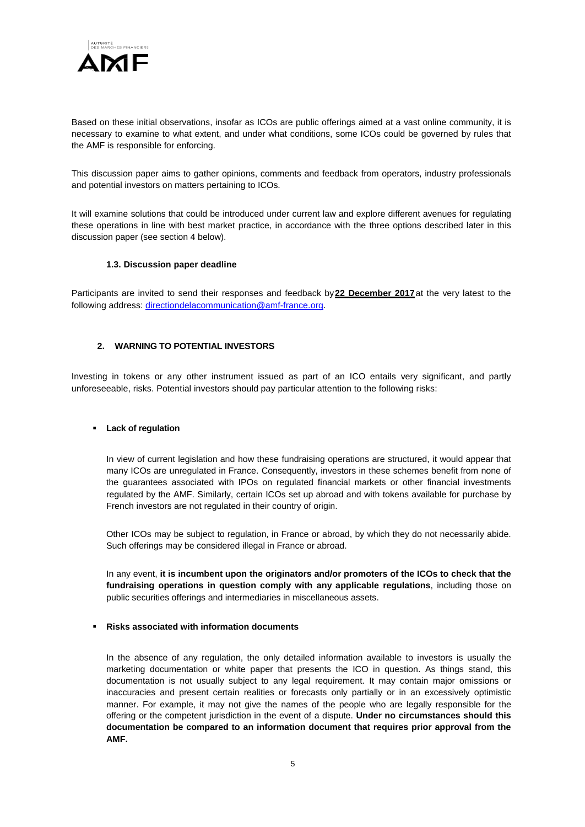

Based on these initial observations, insofar as ICOs are public offerings aimed at a vast online community, it is necessary to examine to what extent, and under what conditions, some ICOs could be governed by rules that the AMF is responsible for enforcing.

This discussion paper aims to gather opinions, comments and feedback from operators, industry professionals and potential investors on matters pertaining to ICOs.

It will examine solutions that could be introduced under current law and explore different avenues for regulating these operations in line with best market practice, in accordance with the three options described later in this discussion paper (see section 4 below).

#### **1.3. Discussion paper deadline**

Participants are invited to send their responses and feedback by**22 December 2017**at the very latest to the following address: [directiondelacommunication@amf-france.org.](mailto:directiondelacommunication@amf-france.org)

# **2. WARNING TO POTENTIAL INVESTORS**

Investing in tokens or any other instrument issued as part of an ICO entails very significant, and partly unforeseeable, risks. Potential investors should pay particular attention to the following risks:

#### **Lack of regulation**

In view of current legislation and how these fundraising operations are structured, it would appear that many ICOs are unregulated in France. Consequently, investors in these schemes benefit from none of the guarantees associated with IPOs on regulated financial markets or other financial investments regulated by the AMF. Similarly, certain ICOs set up abroad and with tokens available for purchase by French investors are not regulated in their country of origin.

Other ICOs may be subject to regulation, in France or abroad, by which they do not necessarily abide. Such offerings may be considered illegal in France or abroad.

In any event, **it is incumbent upon the originators and/or promoters of the ICOs to check that the fundraising operations in question comply with any applicable regulations**, including those on public securities offerings and intermediaries in miscellaneous assets.

#### **Risks associated with information documents**

In the absence of any regulation, the only detailed information available to investors is usually the marketing documentation or white paper that presents the ICO in question. As things stand, this documentation is not usually subject to any legal requirement. It may contain major omissions or inaccuracies and present certain realities or forecasts only partially or in an excessively optimistic manner. For example, it may not give the names of the people who are legally responsible for the offering or the competent jurisdiction in the event of a dispute. **Under no circumstances should this documentation be compared to an information document that requires prior approval from the AMF.**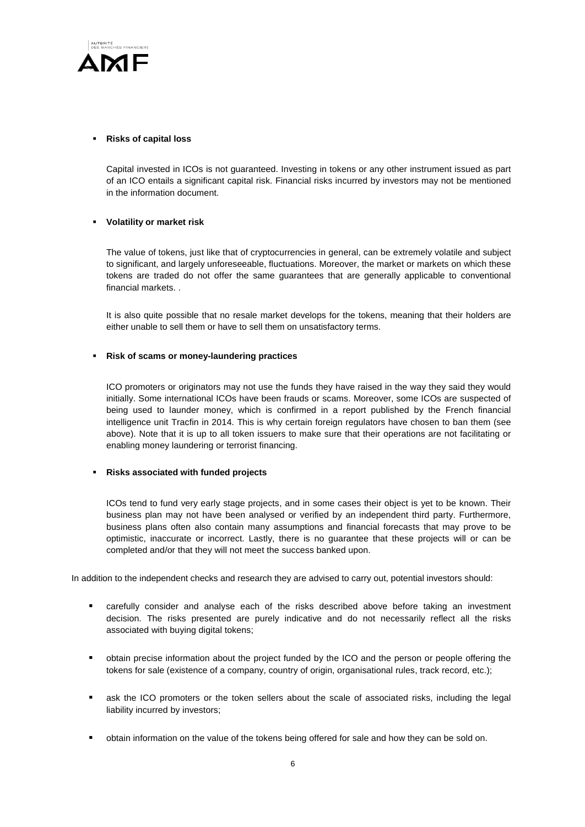

## **Risks of capital loss**

Capital invested in ICOs is not guaranteed. Investing in tokens or any other instrument issued as part of an ICO entails a significant capital risk. Financial risks incurred by investors may not be mentioned in the information document.

# **Volatility or market risk**

The value of tokens, just like that of cryptocurrencies in general, can be extremely volatile and subject to significant, and largely unforeseeable, fluctuations. Moreover, the market or markets on which these tokens are traded do not offer the same guarantees that are generally applicable to conventional financial markets. .

It is also quite possible that no resale market develops for the tokens, meaning that their holders are either unable to sell them or have to sell them on unsatisfactory terms.

## **Risk of scams or money-laundering practices**

ICO promoters or originators may not use the funds they have raised in the way they said they would initially. Some international ICOs have been frauds or scams. Moreover, some ICOs are suspected of being used to launder money, which is confirmed in a report published by the French financial intelligence unit Tracfin in 2014. This is why certain foreign regulators have chosen to ban them (see above). Note that it is up to all token issuers to make sure that their operations are not facilitating or enabling money laundering or terrorist financing.

#### **Risks associated with funded projects**

ICOs tend to fund very early stage projects, and in some cases their object is yet to be known. Their business plan may not have been analysed or verified by an independent third party. Furthermore, business plans often also contain many assumptions and financial forecasts that may prove to be optimistic, inaccurate or incorrect. Lastly, there is no guarantee that these projects will or can be completed and/or that they will not meet the success banked upon.

In addition to the independent checks and research they are advised to carry out, potential investors should:

- carefully consider and analyse each of the risks described above before taking an investment decision. The risks presented are purely indicative and do not necessarily reflect all the risks associated with buying digital tokens;
- obtain precise information about the project funded by the ICO and the person or people offering the tokens for sale (existence of a company, country of origin, organisational rules, track record, etc.);
- ask the ICO promoters or the token sellers about the scale of associated risks, including the legal liability incurred by investors;
- obtain information on the value of the tokens being offered for sale and how they can be sold on.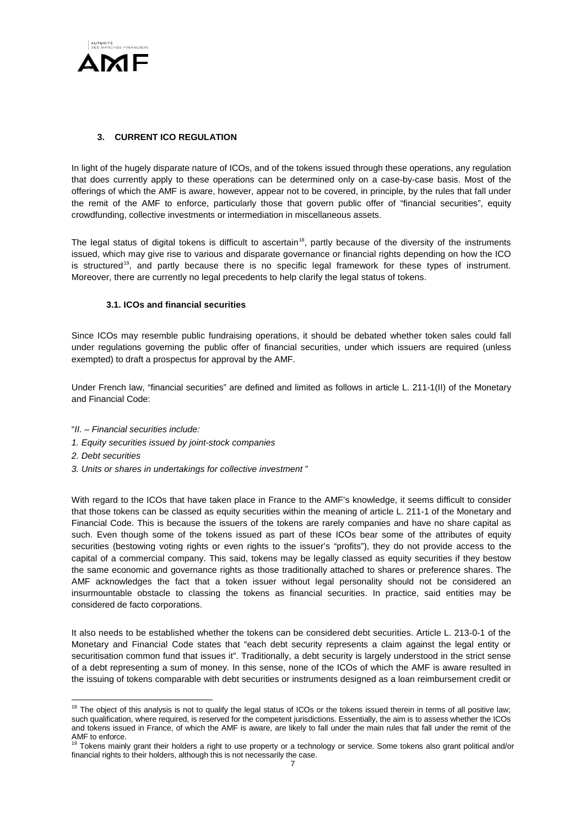

# **3. CURRENT ICO REGULATION**

In light of the hugely disparate nature of ICOs, and of the tokens issued through these operations, any regulation that does currently apply to these operations can be determined only on a case-by-case basis. Most of the offerings of which the AMF is aware, however, appear not to be covered, in principle, by the rules that fall under the remit of the AMF to enforce, particularly those that govern public offer of "financial securities", equity crowdfunding, collective investments or intermediation in miscellaneous assets.

The legal status of digital tokens is difficult to ascertain<sup>[18](#page-6-0)</sup>, partly because of the diversity of the instruments issued, which may give rise to various and disparate governance or financial rights depending on how the ICO is structured<sup>19</sup>, and partly because there is no specific legal framework for these types of instrument. Moreover, there are currently no legal precedents to help clarify the legal status of tokens.

# **3.1. ICOs and financial securities**

Since ICOs may resemble public fundraising operations, it should be debated whether token sales could fall under regulations governing the public offer of financial securities, under which issuers are required (unless exempted) to draft a prospectus for approval by the AMF.

Under French law, "financial securities" are defined and limited as follows in article L. 211-1(II) of the Monetary and Financial Code:

- "*II. – Financial securities include:*
- *1. Equity securities issued by joint-stock companies*
- *2. Debt securities*
- *3. Units or shares in undertakings for collective investment* "

With regard to the ICOs that have taken place in France to the AMF's knowledge, it seems difficult to consider that those tokens can be classed as equity securities within the meaning of article L. 211-1 of the Monetary and Financial Code. This is because the issuers of the tokens are rarely companies and have no share capital as such. Even though some of the tokens issued as part of these ICOs bear some of the attributes of equity securities (bestowing voting rights or even rights to the issuer's "profits"), they do not provide access to the capital of a commercial company. This said, tokens may be legally classed as equity securities if they bestow the same economic and governance rights as those traditionally attached to shares or preference shares. The AMF acknowledges the fact that a token issuer without legal personality should not be considered an insurmountable obstacle to classing the tokens as financial securities. In practice, said entities may be considered de facto corporations.

It also needs to be established whether the tokens can be considered debt securities. Article L. 213-0-1 of the Monetary and Financial Code states that "each debt security represents a claim against the legal entity or securitisation common fund that issues it". Traditionally, a debt security is largely understood in the strict sense of a debt representing a sum of money. In this sense, none of the ICOs of which the AMF is aware resulted in the issuing of tokens comparable with debt securities or instruments designed as a loan reimbursement credit or

<span id="page-6-0"></span> $\overline{a}$  $18$  The object of this analysis is not to qualify the legal status of ICOs or the tokens issued therein in terms of all positive law; such qualification, where required, is reserved for the competent jurisdictions. Essentially, the aim is to assess whether the ICOs and tokens issued in France, of which the AMF is aware, are likely to fall under the main rules that fall under the remit of the AMF to enforce.

<span id="page-6-1"></span>Tokens mainly grant their holders a right to use property or a technology or service. Some tokens also grant political and/or financial rights to their holders, although this is not necessarily the case.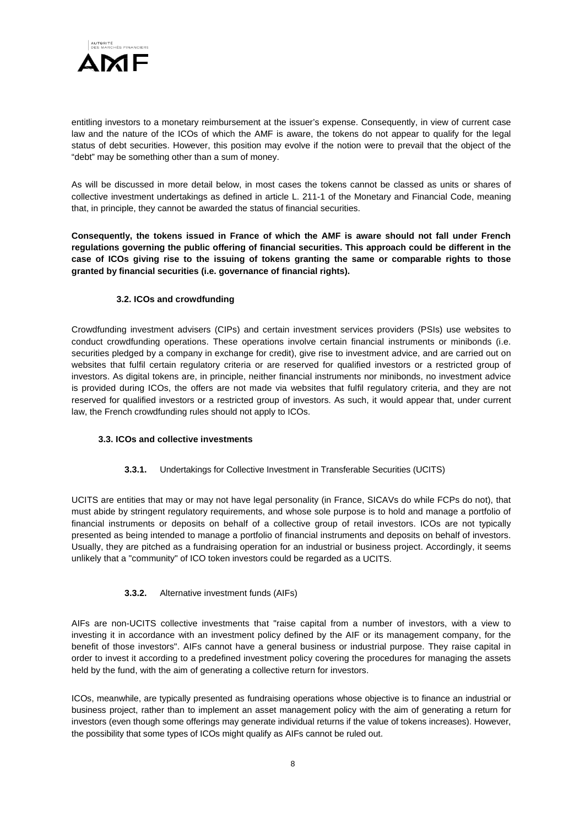

entitling investors to a monetary reimbursement at the issuer's expense. Consequently, in view of current case law and the nature of the ICOs of which the AMF is aware, the tokens do not appear to qualify for the legal status of debt securities. However, this position may evolve if the notion were to prevail that the object of the "debt" may be something other than a sum of money.

As will be discussed in more detail below, in most cases the tokens cannot be classed as units or shares of collective investment undertakings as defined in article L. 211-1 of the Monetary and Financial Code, meaning that, in principle, they cannot be awarded the status of financial securities.

**Consequently, the tokens issued in France of which the AMF is aware should not fall under French regulations governing the public offering of financial securities. This approach could be different in the case of ICOs giving rise to the issuing of tokens granting the same or comparable rights to those granted by financial securities (i.e. governance of financial rights).**

# **3.2. ICOs and crowdfunding**

Crowdfunding investment advisers (CIPs) and certain investment services providers (PSIs) use websites to conduct crowdfunding operations. These operations involve certain financial instruments or minibonds (i.e. securities pledged by a company in exchange for credit), give rise to investment advice, and are carried out on websites that fulfil certain regulatory criteria or are reserved for qualified investors or a restricted group of investors. As digital tokens are, in principle, neither financial instruments nor minibonds, no investment advice is provided during ICOs, the offers are not made via websites that fulfil regulatory criteria, and they are not reserved for qualified investors or a restricted group of investors. As such, it would appear that, under current law, the French crowdfunding rules should not apply to ICOs.

#### **3.3. ICOs and collective investments**

# **3.3.1.** Undertakings for Collective Investment in Transferable Securities (UCITS)

UCITS are entities that may or may not have legal personality (in France, SICAVs do while FCPs do not), that must abide by stringent regulatory requirements, and whose sole purpose is to hold and manage a portfolio of financial instruments or deposits on behalf of a collective group of retail investors. ICOs are not typically presented as being intended to manage a portfolio of financial instruments and deposits on behalf of investors. Usually, they are pitched as a fundraising operation for an industrial or business project. Accordingly, it seems unlikely that a "community" of ICO token investors could be regarded as a UCITS.

# **3.3.2.** Alternative investment funds (AIFs)

AIFs are non-UCITS collective investments that "raise capital from a number of investors, with a view to investing it in accordance with an investment policy defined by the AIF or its management company, for the benefit of those investors". AIFs cannot have a general business or industrial purpose. They raise capital in order to invest it according to a predefined investment policy covering the procedures for managing the assets held by the fund, with the aim of generating a collective return for investors.

ICOs, meanwhile, are typically presented as fundraising operations whose objective is to finance an industrial or business project, rather than to implement an asset management policy with the aim of generating a return for investors (even though some offerings may generate individual returns if the value of tokens increases). However, the possibility that some types of ICOs might qualify as AIFs cannot be ruled out.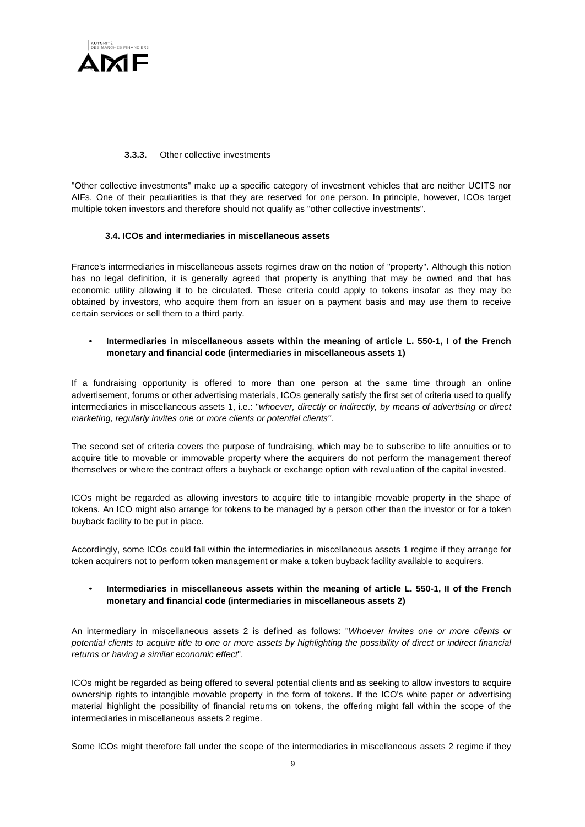

## **3.3.3.** Other collective investments

"Other collective investments" make up a specific category of investment vehicles that are neither UCITS nor AIFs. One of their peculiarities is that they are reserved for one person. In principle, however, ICOs target multiple token investors and therefore should not qualify as "other collective investments".

## **3.4. ICOs and intermediaries in miscellaneous assets**

France's intermediaries in miscellaneous assets regimes draw on the notion of "property". Although this notion has no legal definition, it is generally agreed that property is anything that may be owned and that has economic utility allowing it to be circulated. These criteria could apply to tokens insofar as they may be obtained by investors, who acquire them from an issuer on a payment basis and may use them to receive certain services or sell them to a third party.

# • **Intermediaries in miscellaneous assets within the meaning of article L. 550-1, I of the French monetary and financial code (intermediaries in miscellaneous assets 1)**

If a fundraising opportunity is offered to more than one person at the same time through an online advertisement, forums or other advertising materials, ICOs generally satisfy the first set of criteria used to qualify intermediaries in miscellaneous assets 1, i.e.: "*whoever, directly or indirectly, by means of advertising or direct marketing, regularly invites one or more clients or potential clients"*.

The second set of criteria covers the purpose of fundraising, which may be to subscribe to life annuities or to acquire title to movable or immovable property where the acquirers do not perform the management thereof themselves or where the contract offers a buyback or exchange option with revaluation of the capital invested.

ICOs might be regarded as allowing investors to acquire title to intangible movable property in the shape of tokens*.* An ICO might also arrange for tokens to be managed by a person other than the investor or for a token buyback facility to be put in place.

Accordingly, some ICOs could fall within the intermediaries in miscellaneous assets 1 regime if they arrange for token acquirers not to perform token management or make a token buyback facility available to acquirers.

# • **Intermediaries in miscellaneous assets within the meaning of article L. 550-1, II of the French monetary and financial code (intermediaries in miscellaneous assets 2)**

An intermediary in miscellaneous assets 2 is defined as follows: "*Whoever invites one or more clients or potential clients to acquire title to one or more assets by highlighting the possibility of direct or indirect financial returns or having a similar economic effect*".

ICOs might be regarded as being offered to several potential clients and as seeking to allow investors to acquire ownership rights to intangible movable property in the form of tokens. If the ICO's white paper or advertising material highlight the possibility of financial returns on tokens, the offering might fall within the scope of the intermediaries in miscellaneous assets 2 regime.

Some ICOs might therefore fall under the scope of the intermediaries in miscellaneous assets 2 regime if they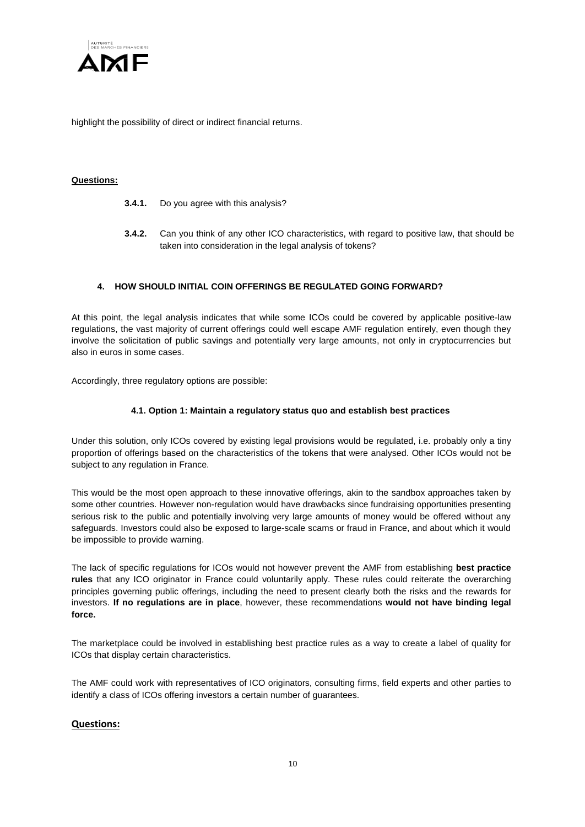

highlight the possibility of direct or indirect financial returns.

## **Questions:**

- **3.4.1.** Do you agree with this analysis?
- **3.4.2.** Can you think of any other ICO characteristics, with regard to positive law, that should be taken into consideration in the legal analysis of tokens?

# **4. HOW SHOULD INITIAL COIN OFFERINGS BE REGULATED GOING FORWARD?**

At this point, the legal analysis indicates that while some ICOs could be covered by applicable positive-law regulations, the vast majority of current offerings could well escape AMF regulation entirely, even though they involve the solicitation of public savings and potentially very large amounts, not only in cryptocurrencies but also in euros in some cases.

Accordingly, three regulatory options are possible:

#### **4.1. Option 1: Maintain a regulatory status quo and establish best practices**

Under this solution, only ICOs covered by existing legal provisions would be regulated, i.e. probably only a tiny proportion of offerings based on the characteristics of the tokens that were analysed. Other ICOs would not be subject to any regulation in France.

This would be the most open approach to these innovative offerings, akin to the sandbox approaches taken by some other countries. However non-regulation would have drawbacks since fundraising opportunities presenting serious risk to the public and potentially involving very large amounts of money would be offered without any safeguards. Investors could also be exposed to large-scale scams or fraud in France, and about which it would be impossible to provide warning.

The lack of specific regulations for ICOs would not however prevent the AMF from establishing **best practice rules** that any ICO originator in France could voluntarily apply. These rules could reiterate the overarching principles governing public offerings, including the need to present clearly both the risks and the rewards for investors. **If no regulations are in place**, however, these recommendations **would not have binding legal force.**

The marketplace could be involved in establishing best practice rules as a way to create a label of quality for ICOs that display certain characteristics.

The AMF could work with representatives of ICO originators, consulting firms, field experts and other parties to identify a class of ICOs offering investors a certain number of guarantees.

# **Questions:**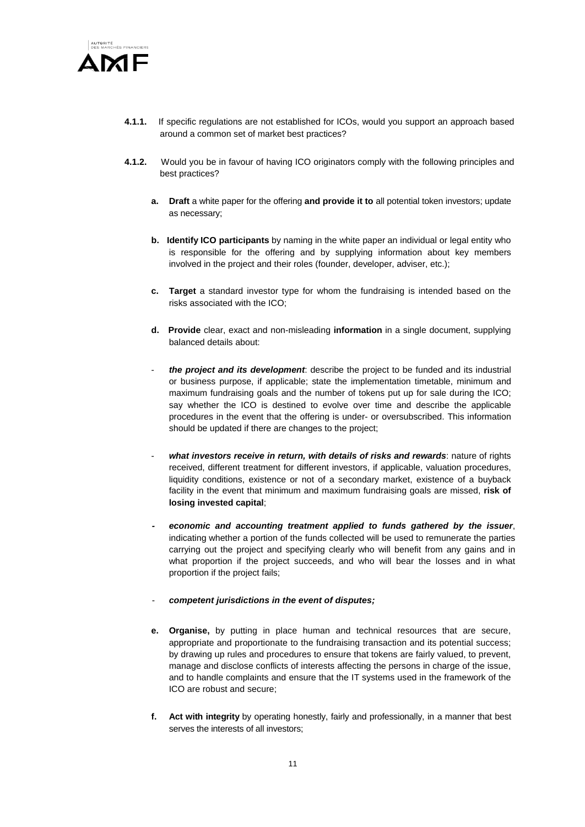

- **4.1.1.** If specific regulations are not established for ICOs, would you support an approach based around a common set of market best practices?
- **4.1.2.** Would you be in favour of having ICO originators comply with the following principles and best practices?
	- **a. Draft** a white paper for the offering **and provide it to** all potential token investors; update as necessary;
	- **b. Identify ICO participants** by naming in the white paper an individual or legal entity who is responsible for the offering and by supplying information about key members involved in the project and their roles (founder, developer, adviser, etc.);
	- **c. Target** a standard investor type for whom the fundraising is intended based on the risks associated with the ICO;
	- **d. Provide** clear, exact and non-misleading **information** in a single document, supplying balanced details about:
	- *the project and its development*: describe the project to be funded and its industrial or business purpose, if applicable; state the implementation timetable, minimum and maximum fundraising goals and the number of tokens put up for sale during the ICO; say whether the ICO is destined to evolve over time and describe the applicable procedures in the event that the offering is under- or oversubscribed. This information should be updated if there are changes to the project;
	- what investors receive in return, with details of risks and rewards: nature of rights received, different treatment for different investors, if applicable, valuation procedures, liquidity conditions, existence or not of a secondary market, existence of a buyback facility in the event that minimum and maximum fundraising goals are missed, **risk of losing invested capital**;
	- *- economic and accounting treatment applied to funds gathered by the issuer*, indicating whether a portion of the funds collected will be used to remunerate the parties carrying out the project and specifying clearly who will benefit from any gains and in what proportion if the project succeeds, and who will bear the losses and in what proportion if the project fails;
	- *competent jurisdictions in the event of disputes;*
	- **e. Organise,** by putting in place human and technical resources that are secure, appropriate and proportionate to the fundraising transaction and its potential success; by drawing up rules and procedures to ensure that tokens are fairly valued, to prevent, manage and disclose conflicts of interests affecting the persons in charge of the issue, and to handle complaints and ensure that the IT systems used in the framework of the ICO are robust and secure;
	- **f. Act with integrity** by operating honestly, fairly and professionally, in a manner that best serves the interests of all investors;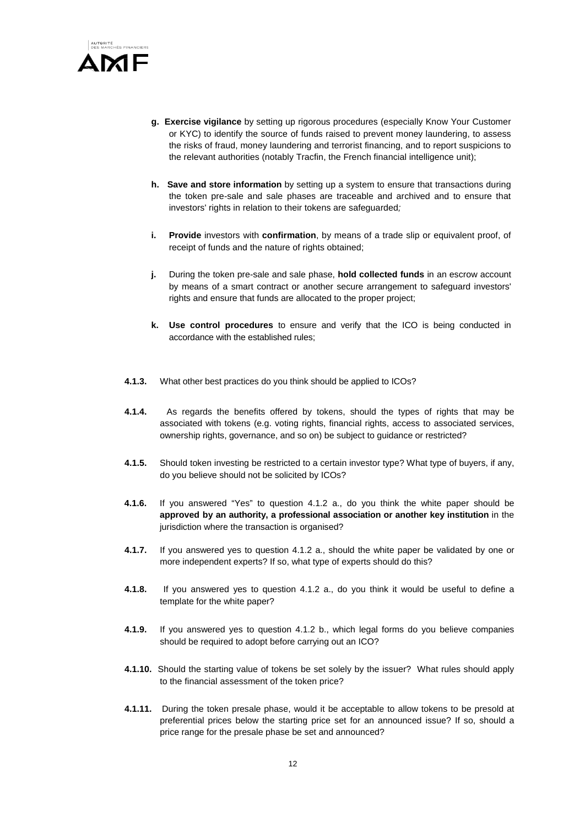

- **g. Exercise vigilance** by setting up rigorous procedures (especially Know Your Customer or KYC) to identify the source of funds raised to prevent money laundering, to assess the risks of fraud, money laundering and terrorist financing, and to report suspicions to the relevant authorities (notably Tracfin, the French financial intelligence unit);
- **h. Save and store information** by setting up a system to ensure that transactions during the token pre-sale and sale phases are traceable and archived and to ensure that investors' rights in relation to their tokens are safeguarded*;*
- **i. Provide** investors with **confirmation**, by means of a trade slip or equivalent proof, of receipt of funds and the nature of rights obtained;
- **j.** During the token pre-sale and sale phase, **hold collected funds** in an escrow account by means of a smart contract or another secure arrangement to safeguard investors' rights and ensure that funds are allocated to the proper project;
- **k. Use control procedures** to ensure and verify that the ICO is being conducted in accordance with the established rules;
- **4.1.3.** What other best practices do you think should be applied to ICOs?
- **4.1.4.** As regards the benefits offered by tokens, should the types of rights that may be associated with tokens (e.g. voting rights, financial rights, access to associated services, ownership rights, governance, and so on) be subject to guidance or restricted?
- **4.1.5.** Should token investing be restricted to a certain investor type? What type of buyers, if any, do you believe should not be solicited by ICOs?
- **4.1.6.** If you answered "Yes" to question 4.1.2 a., do you think the white paper should be **approved by an authority, a professional association or another key institution** in the jurisdiction where the transaction is organised?
- **4.1.7.** If you answered yes to question 4.1.2 a., should the white paper be validated by one or more independent experts? If so, what type of experts should do this?
- **4.1.8.** If you answered yes to question 4.1.2 a., do you think it would be useful to define a template for the white paper?
- **4.1.9.** If you answered yes to question 4.1.2 b., which legal forms do you believe companies should be required to adopt before carrying out an ICO?
- **4.1.10.** Should the starting value of tokens be set solely by the issuer? What rules should apply to the financial assessment of the token price?
- **4.1.11.** During the token presale phase, would it be acceptable to allow tokens to be presold at preferential prices below the starting price set for an announced issue? If so, should a price range for the presale phase be set and announced?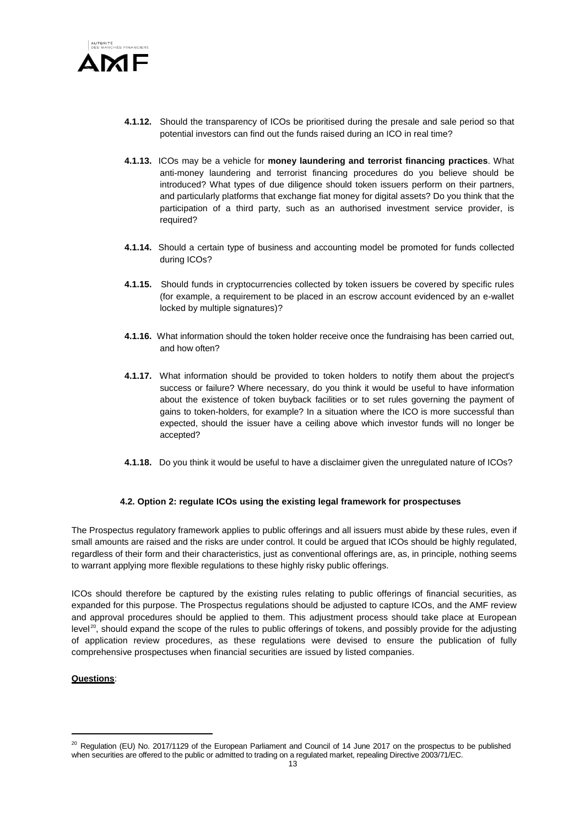

- **4.1.12.** Should the transparency of ICOs be prioritised during the presale and sale period so that potential investors can find out the funds raised during an ICO in real time?
- **4.1.13.** ICOs may be a vehicle for **money laundering and terrorist financing practices**. What anti-money laundering and terrorist financing procedures do you believe should be introduced? What types of due diligence should token issuers perform on their partners, and particularly platforms that exchange fiat money for digital assets? Do you think that the participation of a third party, such as an authorised investment service provider, is required?
- **4.1.14.** Should a certain type of business and accounting model be promoted for funds collected during ICOs?
- **4.1.15.** Should funds in cryptocurrencies collected by token issuers be covered by specific rules (for example, a requirement to be placed in an escrow account evidenced by an e-wallet locked by multiple signatures)?
- **4.1.16.** What information should the token holder receive once the fundraising has been carried out, and how often?
- **4.1.17.** What information should be provided to token holders to notify them about the project's success or failure? Where necessary, do you think it would be useful to have information about the existence of token buyback facilities or to set rules governing the payment of gains to token-holders, for example? In a situation where the ICO is more successful than expected, should the issuer have a ceiling above which investor funds will no longer be accepted?
- **4.1.18.** Do you think it would be useful to have a disclaimer given the unregulated nature of ICOs?

#### **4.2. Option 2: regulate ICOs using the existing legal framework for prospectuses**

The Prospectus regulatory framework applies to public offerings and all issuers must abide by these rules, even if small amounts are raised and the risks are under control. It could be argued that ICOs should be highly regulated, regardless of their form and their characteristics, just as conventional offerings are, as, in principle, nothing seems to warrant applying more flexible regulations to these highly risky public offerings.

ICOs should therefore be captured by the existing rules relating to public offerings of financial securities, as expanded for this purpose. The Prospectus regulations should be adjusted to capture ICOs, and the AMF review and approval procedures should be applied to them. This adjustment process should take place at European level<sup>20</sup>, should expand the scope of the rules to public offerings of tokens, and possibly provide for the adjusting of application review procedures, as these regulations were devised to ensure the publication of fully comprehensive prospectuses when financial securities are issued by listed companies.

#### **Questions**:

 $\overline{\phantom{a}}$ 

<span id="page-12-0"></span><sup>&</sup>lt;sup>20</sup> Regulation (EU) No. 2017/1129 of the European Parliament and Council of 14 June 2017 on the prospectus to be published when securities are offered to the public or admitted to trading on a regulated market, repealing Directive 2003/71/EC.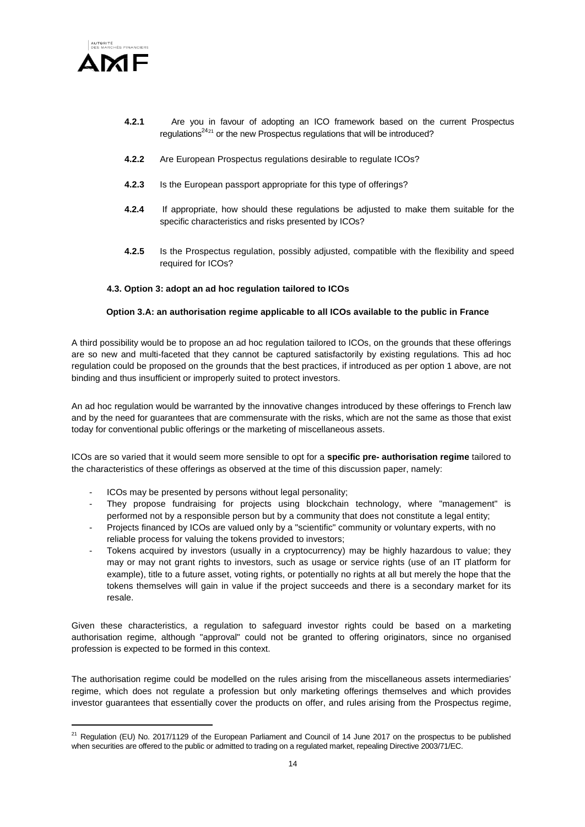

 $\overline{\phantom{a}}$ 

- **4.2.1** Are you in favour of adopting an ICO framework based on the current Prospectus regulations<sup>24<sub>[21](#page-13-0)</sub></sup> or the new Prospectus regulations that will be introduced?
- **4.2.2** Are European Prospectus regulations desirable to regulate ICOs?
- **4.2.3** Is the European passport appropriate for this type of offerings?
- **4.2.4** If appropriate, how should these regulations be adjusted to make them suitable for the specific characteristics and risks presented by ICOs?
- **4.2.5** Is the Prospectus regulation, possibly adjusted, compatible with the flexibility and speed required for ICOs?

#### **4.3. Option 3: adopt an ad hoc regulation tailored to ICOs**

#### **Option 3.A: an authorisation regime applicable to all ICOs available to the public in France**

A third possibility would be to propose an ad hoc regulation tailored to ICOs, on the grounds that these offerings are so new and multi-faceted that they cannot be captured satisfactorily by existing regulations. This ad hoc regulation could be proposed on the grounds that the best practices, if introduced as per option 1 above, are not binding and thus insufficient or improperly suited to protect investors.

An ad hoc regulation would be warranted by the innovative changes introduced by these offerings to French law and by the need for guarantees that are commensurate with the risks, which are not the same as those that exist today for conventional public offerings or the marketing of miscellaneous assets.

ICOs are so varied that it would seem more sensible to opt for a **specific pre- authorisation regime** tailored to the characteristics of these offerings as observed at the time of this discussion paper, namely:

- ICOs may be presented by persons without legal personality;
- They propose fundraising for projects using blockchain technology, where "management" is performed not by a responsible person but by a community that does not constitute a legal entity;
- Projects financed by ICOs are valued only by a "scientific" community or voluntary experts, with no reliable process for valuing the tokens provided to investors;
- Tokens acquired by investors (usually in a cryptocurrency) may be highly hazardous to value; they may or may not grant rights to investors, such as usage or service rights (use of an IT platform for example), title to a future asset, voting rights, or potentially no rights at all but merely the hope that the tokens themselves will gain in value if the project succeeds and there is a secondary market for its resale.

Given these characteristics, a regulation to safeguard investor rights could be based on a marketing authorisation regime, although "approval" could not be granted to offering originators, since no organised profession is expected to be formed in this context.

The authorisation regime could be modelled on the rules arising from the miscellaneous assets intermediaries' regime, which does not regulate a profession but only marketing offerings themselves and which provides investor guarantees that essentially cover the products on offer, and rules arising from the Prospectus regime,

<span id="page-13-0"></span><sup>&</sup>lt;sup>21</sup> Regulation (EU) No. 2017/1129 of the European Parliament and Council of 14 June 2017 on the prospectus to be published when securities are offered to the public or admitted to trading on a regulated market, repealing Directive 2003/71/EC.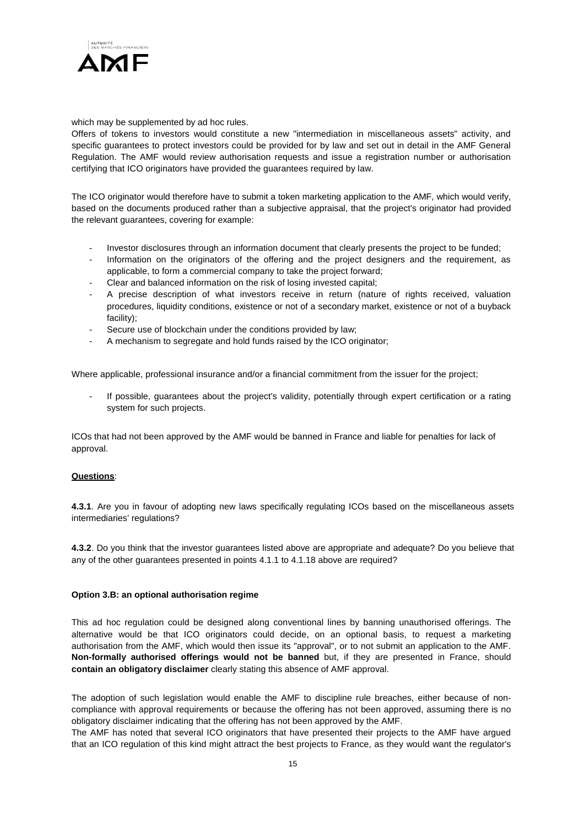

which may be supplemented by ad hoc rules.

Offers of tokens to investors would constitute a new "intermediation in miscellaneous assets" activity, and specific guarantees to protect investors could be provided for by law and set out in detail in the AMF General Regulation. The AMF would review authorisation requests and issue a registration number or authorisation certifying that ICO originators have provided the guarantees required by law.

The ICO originator would therefore have to submit a token marketing application to the AMF, which would verify, based on the documents produced rather than a subjective appraisal, that the project's originator had provided the relevant guarantees, covering for example:

- Investor disclosures through an information document that clearly presents the project to be funded;
- Information on the originators of the offering and the project designers and the requirement, as applicable, to form a commercial company to take the project forward;
- Clear and balanced information on the risk of losing invested capital;
- A precise description of what investors receive in return (nature of rights received, valuation procedures, liquidity conditions, existence or not of a secondary market, existence or not of a buyback facility);
- Secure use of blockchain under the conditions provided by law;
- A mechanism to segregate and hold funds raised by the ICO originator;

Where applicable, professional insurance and/or a financial commitment from the issuer for the project;

If possible, guarantees about the project's validity, potentially through expert certification or a rating system for such projects.

ICOs that had not been approved by the AMF would be banned in France and liable for penalties for lack of approval.

# **Questions**:

**4.3.1**. Are you in favour of adopting new laws specifically regulating ICOs based on the miscellaneous assets intermediaries' regulations?

**4.3.2**. Do you think that the investor guarantees listed above are appropriate and adequate? Do you believe that any of the other guarantees presented in points 4.1.1 to 4.1.18 above are required?

#### **Option 3.B: an optional authorisation regime**

This ad hoc regulation could be designed along conventional lines by banning unauthorised offerings. The alternative would be that ICO originators could decide, on an optional basis, to request a marketing authorisation from the AMF, which would then issue its "approval", or to not submit an application to the AMF. **Non-formally authorised offerings would not be banned** but, if they are presented in France, should **contain an obligatory disclaimer** clearly stating this absence of AMF approval.

The adoption of such legislation would enable the AMF to discipline rule breaches, either because of noncompliance with approval requirements or because the offering has not been approved, assuming there is no obligatory disclaimer indicating that the offering has not been approved by the AMF.

The AMF has noted that several ICO originators that have presented their projects to the AMF have argued that an ICO regulation of this kind might attract the best projects to France, as they would want the regulator's